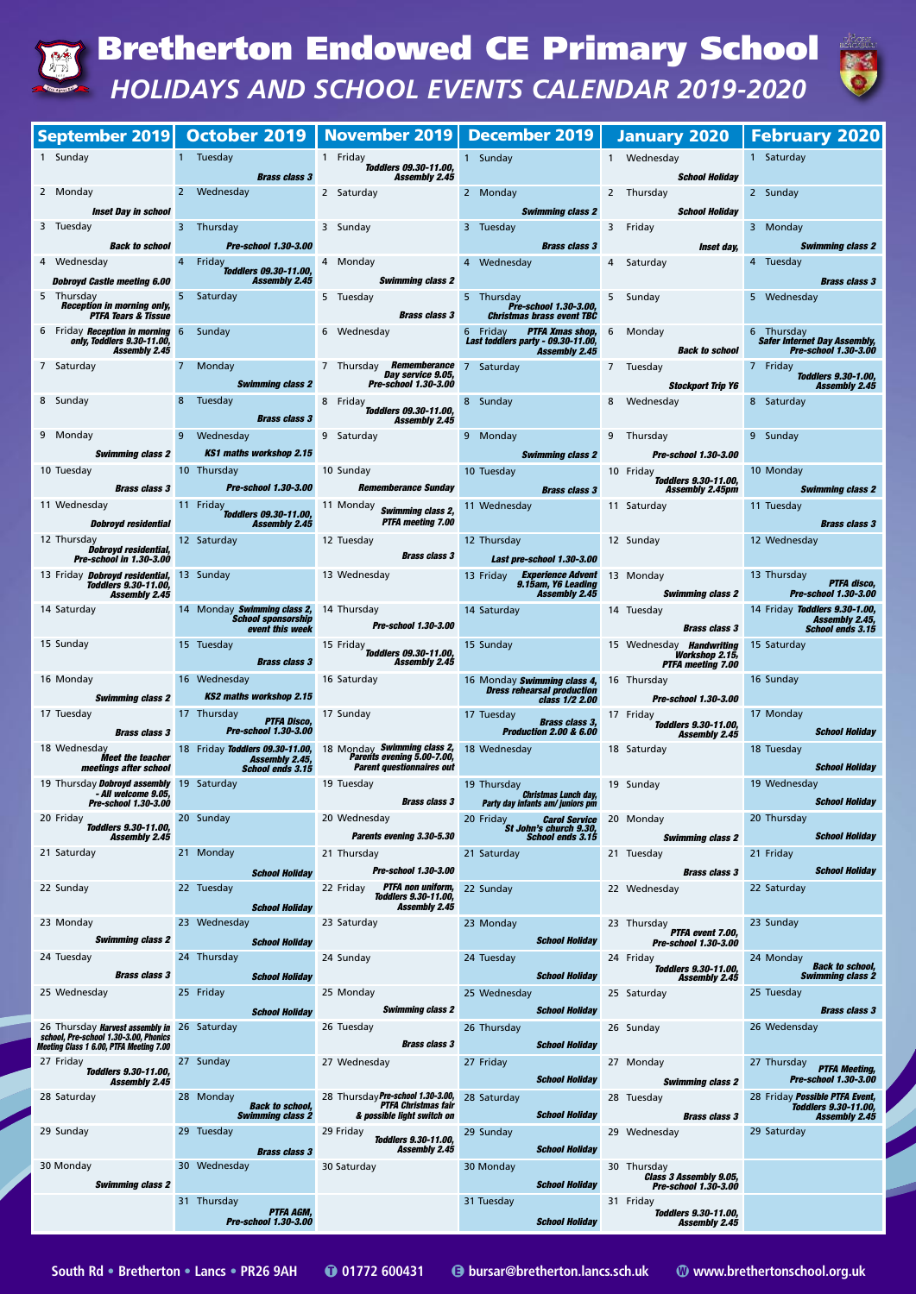|                                                                                                                                                                                                                                                             |                                                                                                                                                                                                                                                                                | September 2019 October 2019   November 2019   December 2019                                                                                                    |                                                                                                                                                                                                                                                                                                                                           |                                                                                                                                                                                                                                        | January 2020   February 2020                                                                                                                  |
|-------------------------------------------------------------------------------------------------------------------------------------------------------------------------------------------------------------------------------------------------------------|--------------------------------------------------------------------------------------------------------------------------------------------------------------------------------------------------------------------------------------------------------------------------------|----------------------------------------------------------------------------------------------------------------------------------------------------------------|-------------------------------------------------------------------------------------------------------------------------------------------------------------------------------------------------------------------------------------------------------------------------------------------------------------------------------------------|----------------------------------------------------------------------------------------------------------------------------------------------------------------------------------------------------------------------------------------|-----------------------------------------------------------------------------------------------------------------------------------------------|
| 1 Sunday                                                                                                                                                                                                                                                    | 1 Tuesday<br>$\mathcal{L}(\mathcal{L})$ and $\mathcal{L}(\mathcal{L})$ and $\mathcal{L}(\mathcal{L})$<br><b><i>Brass class 3</i></b>                                                                                                                                           | 1 Friday<br><b>70ddlers 09.30-11.00,<br/>459.45 Assembly</b>                                                                                                   | 1 Sunday                                                                                                                                                                                                                                                                                                                                  | 1 Wednesday <b>Santa Company</b><br><b>School Holiday</b>                                                                                                                                                                              | 1 Saturday<br>$\mathcal{L}^{\text{max}}_{\text{max}}$ and $\mathcal{L}^{\text{max}}_{\text{max}}$ and $\mathcal{L}^{\text{max}}_{\text{max}}$ |
| 2 Monday <b>Communist Communist Communist Communist Communist Communist Communist Communist Communist Communist Communist Communist Communist Communist Communist Communist Communist Communist Communist Communist Communist Co</b><br>Inset Day in school | 2 Wednesday<br>and the state of the state of the state of the state of the state of the state of the state of the state of th                                                                                                                                                  | 2 Saturday and the Saturday                                                                                                                                    | 2 Monday and the control of the control of the control of the control of the control of the control of the control of the control of the control of the control of the control of the control of the control of the control of<br><b>Swimming class 2 Swimming class 2</b>                                                                | 2 Thursday<br><b>School Holiday</b>                                                                                                                                                                                                    | 2 Sunday                                                                                                                                      |
| 3 Tuesday and the state of the state of the state of the state of the state of the state of the state of the state of the state of the state of the state of the state of the state of the state of the state of the state of                               | 3 Thursday 1 3 Sunday<br><b>Back to school Pre-school 1.30-3.00</b>                                                                                                                                                                                                            |                                                                                                                                                                | 3 Tuesday <b>Contract Contract Contract Contract Contract Contract Contract Contract Contract Contract Contract Contract Contract Contract Contract Contract Contract Contract Contract Contract Contract Contract Contract Cont</b>                                                                                                      | 3 Friday Participate Studies                                                                                                                                                                                                           | 3 Monday                                                                                                                                      |
| Wednesday <b>4 Friday</b><br><b>Toddlers 09.30-11.00, Dobroyd Castle meeting 6.00 16.00</b> Assembly 2.45<br>4 Wednesday and the state of the state of the state of the state of the state of the state of the state of the                                 |                                                                                                                                                                                                                                                                                | 4 Monday                                                                                                                                                       | <b>Example 2018 Brass class 3</b><br>4 Wednesday <b>Advised Article 1986</b>                                                                                                                                                                                                                                                              | <b>Example 2018 State Street day, and the Street day, and the Street day, and the Street Street Street Street Str</b><br>4 Saturday and the State of the State of the State of the State of the State of the State of the State of the | <b>Swimming class 2</b><br>4 Tuesday                                                                                                          |
| 5 Thursday 15 Saturday 19 Saturday                                                                                                                                                                                                                          |                                                                                                                                                                                                                                                                                | <b>Swimming class 2</b><br>5 Tuesday                                                                                                                           | 5 Thursday<br><b>Pre-school 1.30-3.00,</b>                                                                                                                                                                                                                                                                                                | 5 Sunday                                                                                                                                                                                                                               | <b>Brass class 3</b><br>5 Wednesday                                                                                                           |
| <b>Reception in morning only,</b><br><b>PTFA Tears &amp; Tissue</b>                                                                                                                                                                                         |                                                                                                                                                                                                                                                                                |                                                                                                                                                                | <b>Brass class 3</b> Christmas brass event TBC                                                                                                                                                                                                                                                                                            |                                                                                                                                                                                                                                        |                                                                                                                                               |
| 6 Friday Reception in morning 6 Sunday<br>only, Toddlers 9.30-11.00,<br><b>Assembly 2.45</b>                                                                                                                                                                |                                                                                                                                                                                                                                                                                | 6 Wednesday <b>Carl 1999</b>                                                                                                                                   | <b>PTFA Xmas shop,</b> 6<br>6 Friday<br>Last toddlers party - 09.30-11.00,<br><b>Assembly 2.45</b>                                                                                                                                                                                                                                        | Monday<br>Monday<br><b>Example 18 Second Back to school</b>                                                                                                                                                                            | 6 Thursday<br>Safer Internet Day Assembly,<br><b>Pre-school 1.30-3.00</b>                                                                     |
| 7 Saturday <b>Album</b>                                                                                                                                                                                                                                     |                                                                                                                                                                                                                                                                                | 7 Monday 7 Thursday <b>Rememberance</b> 7 Saturday<br>$\overline{\phantom{a}}^{\prime}$ Day service 9.05,<br>Swimming class 2 Pre-school 1.30-3.00             |                                                                                                                                                                                                                                                                                                                                           | 7 Tuesday <b>Tuesday</b>                                                                                                                                                                                                               | 7 Friday<br>Toddlers 9.30-1.00,<br>3tockport Trip Y6 Mssembly 2.45                                                                            |
| 8 Sunday                                                                                                                                                                                                                                                    | 8 Tuesday<br><b>Brass class 3</b>                                                                                                                                                                                                                                              | 8 Friday<br><b>Toddlers 09.30-11.00,</b><br><b>Assembly 2.45</b>                                                                                               | 8 Sunday <b>Sunday Reserves</b>                                                                                                                                                                                                                                                                                                           | 8 Wednesday <b>Sandware Street Street Street Street</b>                                                                                                                                                                                | 8 Saturday                                                                                                                                    |
| 9 Monday                                                                                                                                                                                                                                                    | 9 Wednesday <b>State Street Street Street Street Street</b><br><b>KS1 maths workshop 2.15</b>                                                                                                                                                                                  | 9 Saturday and the State of the State of the State of the State of the State of the State of the State of the                                                  | 9 Monday <b>Service Street Street Street Street Street</b>                                                                                                                                                                                                                                                                                | 9 Thursday 19 Sunday                                                                                                                                                                                                                   |                                                                                                                                               |
| Swimming class 2<br>10 Tuesday <b>Contract Contract Contract Contract Contract Contract Contract Contract Contract Contract Contract</b>                                                                                                                    |                                                                                                                                                                                                                                                                                | <b>10 Thursday 10 Sunday</b>                                                                                                                                   | <b>Example 1.30-3.00</b> Swimming class 2 <b>Pre-school 1.30-3.00</b><br>10 Tuesday <b>Contract Contract Contract Contract Contract Contract Contract Contract Contract Contract Contract</b>                                                                                                                                             |                                                                                                                                                                                                                                        | 10 Monday                                                                                                                                     |
| 11 Wednesday <b>Service State Street</b>                                                                                                                                                                                                                    |                                                                                                                                                                                                                                                                                | <b>Brass class 3 Riverse 2 Pre-school 1.30-3.00 Rememberance Sunday Riverse 2 <i>Brass class 3</i></b>                                                         | 11 Wednesday and the control of the control of                                                                                                                                                                                                                                                                                            | 10 Friday<br><b>Toddlers 9.30-11.00,<br/>Assembly 2.45pm</b><br>11 Saturday and the state of the state of the state of the state of the state of the state of the state of the                                                         | <b>Service Service</b><br><b>Swimming class 2</b><br>11 Tuesday                                                                               |
| <b>Dobroyd residential and all another control of the state of the state of the state of the state of the state o</b>                                                                                                                                       | 11 Friday<br><b>Toddlers 09.30-11.00</b><br><b>Assembly 2.45</b>                                                                                                                                                                                                               | 11 Monday <b>Swimming class 2,</b><br><b>PTFA</b> meeting 7.00                                                                                                 |                                                                                                                                                                                                                                                                                                                                           |                                                                                                                                                                                                                                        | <b>Brass class 3</b>                                                                                                                          |
| 12 Thursday<br>Dobroyd residential,<br>Pre-school in 1.30-3.00                                                                                                                                                                                              |                                                                                                                                                                                                                                                                                | 12 Saturday 12 Tuesday<br>Brass class 3                                                                                                                        | 12 Thursday 12 Sunday<br><b>Last pre-school 1.30-3.00</b>                                                                                                                                                                                                                                                                                 |                                                                                                                                                                                                                                        | 12 Wednesday                                                                                                                                  |
| Toddlers 9.30-11.00,<br><b>Assembly 2.45</b>                                                                                                                                                                                                                |                                                                                                                                                                                                                                                                                | 13 Friday <b>Dobroyd residential,</b> 13 Sunday 13 Nednesday                                                                                                   | 13 Friday <b>Experience Advent</b> 13 Monday 13 Thursday<br>9.15am, Y6 Leading<br><b>Assembly 2.45</b>                                                                                                                                                                                                                                    |                                                                                                                                                                                                                                        | <b>PTFA</b> disco<br><b>Swimming class 2</b> Pre-school 1.30-3.00                                                                             |
| 14 Saturday                                                                                                                                                                                                                                                 | <b>School sponsorship</b><br>event this week                                                                                                                                                                                                                                   | 14 Monday <b>Swimming class 2,</b> 14 Thursday<br>Pre-school 1.30-3.00                                                                                         | 14 Saturday                                                                                                                                                                                                                                                                                                                               | 14 Tuesday<br><b>Brass class 3 Brass class</b> 3                                                                                                                                                                                       | 14 Friday Toddlers 9.30-1.00,<br>Assembly 2.45,<br>School ends 3.15                                                                           |
| <u>ana amin'ny fivondronan-</u><br>15 Sunday                                                                                                                                                                                                                | 15 Tuesday<br><b>Brass class 3</b>                                                                                                                                                                                                                                             | 15 Friday<br><b>Toddlers 09.30-11.00,</b><br>Assembly 2.45                                                                                                     | 15 Sunday 15 Wednesday <b>Handwriting</b> 15 Saturday                                                                                                                                                                                                                                                                                     | <b>Workshop 2.15,</b><br><b>PTFA meeting 7.00</b>                                                                                                                                                                                      |                                                                                                                                               |
| 16 Monday 16 Wednesday 16 Saturday                                                                                                                                                                                                                          | <b>Swimming class 2</b> KS2 maths workshop 2.15                                                                                                                                                                                                                                |                                                                                                                                                                | 16 Monday <b>Swimming class 4,</b> 16 Thursday<br><b>Dress rehearsal production</b>                                                                                                                                                                                                                                                       |                                                                                                                                                                                                                                        | 16 Sunday                                                                                                                                     |
| 17 Tuesday <b>Communist Communist Communist Communist Communist Communist Communist Communist Communist Communist</b>                                                                                                                                       | 17 Thursday<br><b>PTFA Disco,</b><br><b>Brass class 3 Pre-school 1.30-3.00</b>                                                                                                                                                                                                 | <b>Example 2014</b><br>17 Sunday                                                                                                                               | 17 Tuesday <b>Brass class 3</b> ,<br><b>Production 2.00 &amp; 6.00</b>                                                                                                                                                                                                                                                                    | class 1/2 2.00 Pre-school 1.30-3.00<br>17 Monday<br><b>Toddlers 9.30-11.00,</b><br><b>Assembly 2.45</b>                                                                                                                                | <b>School Holiday</b>                                                                                                                         |
|                                                                                                                                                                                                                                                             | Meet the teacher<br>meetings after school ends 3.15                                                                                                                                                                                                                            | 18 Wednesday 18 Friday Toddlers 09.30-11.00, 18 Monday Swimming class 2, 18 Wednesday 18 Saturday<br>Parents evening 5.00-7.00,<br>Parent questionnaires out   |                                                                                                                                                                                                                                                                                                                                           |                                                                                                                                                                                                                                        | 18 Tuesday<br><b>School Holiday</b>                                                                                                           |
| 19 Thursday <b>Dobroyd assembly</b> 19 Saturday<br>- All welcome 9.05,<br><b>Pre-school 1.30-3.00</b>                                                                                                                                                       |                                                                                                                                                                                                                                                                                | 19 Tuesday and the state of the state of the<br><b>Brass class 3</b>                                                                                           | 19 Thursday <b>Christmas Lunch day,</b> 19 Sunday<br>Party day infants am/ juniors pm                                                                                                                                                                                                                                                     |                                                                                                                                                                                                                                        | 19 Wednesday<br><b>School Holiday</b>                                                                                                         |
| 20 Friday<br>Toddlers 9.30-11.00,<br><b>Assembly 2.45</b>                                                                                                                                                                                                   | 20 Sunday and the state of the state of the state of the state of the state of the state of the state of the state of the state of the state of the state of the state of the state of the state of the state of the state of                                                  | 20 Wednesday and the state of the state of the state of the state of the state of the state of the state of the                                                | ednesday <b>1998</b> 20 Friday <b>Carol Service</b> 20 Monday <b>1998</b> 20 Thursday<br><b>Parents evening 3.30-5.30 St John's church 9.30, School ends 3.15 State School Parents are also 2 School ends 3.15</b>                                                                                                                        |                                                                                                                                                                                                                                        | 20 Thursday<br><b>School Holiday</b>                                                                                                          |
| 21 Saturday<br><u>a sa sala</u>                                                                                                                                                                                                                             |                                                                                                                                                                                                                                                                                | 21 Monday 21 Thursday<br>School Holiday <b>Pre-school 1.30-3.00</b>                                                                                            | <b>21 Saturday Contract Contract Contract Contract Contract Contract Contract Contract Contract Contract Contract</b>                                                                                                                                                                                                                     | 21 Tuesday 21 Friday                                                                                                                                                                                                                   | <b>School Holiday</b>                                                                                                                         |
| 22 Sunday and the state of the state of the state of the state of the state of the state of the state of the s                                                                                                                                              | <u>a sa sababara</u><br>22 Tuesday and the control of the control of the control of the control of the control of the control of the control of the control of the control of the control of the control of the control of the control of the control<br><b>School Holiday</b> | 22 Friday <b>PTFA non uniform,</b> 22 Sunday<br><b>Toddlers 9.30-11.00,</b> 22 Sunday<br>Assembly 2.45                                                         |                                                                                                                                                                                                                                                                                                                                           | <b>Example 2018 Brass class 3</b><br>22 Wednesday <b>22 Saturday</b>                                                                                                                                                                   |                                                                                                                                               |
| 23 Monday and the state of the state of the state of the state of the state of the state of the state of the state of the state of the state of the state of the state of the state of the state of the state of the state of                               | 23 Wednesday <b>Care and Street Street Street Street Street</b>                                                                                                                                                                                                                | 23 Saturday and the state of the state of the state of the state of the state of the state of the state of the                                                 | 23 Monday and the control of the control of the control of the control of the control of the control of the co                                                                                                                                                                                                                            | 23 Thursday<br><b>PTFA event 7.00,</b>                                                                                                                                                                                                 | 23 Sunday                                                                                                                                     |
| <b>Swimming class 2</b><br>24 Tuesday and the control of the control of the control of the control of the control of the control of the control of the control of the control of the control of the control of the control of the control of the control    | <b>School Holiday</b><br>24 Thursday and the control of the control of the control of the control of the control of the control of the                                                                                                                                         | 24 Sunday <b>Contract Structure</b>                                                                                                                            | <b>Contract Contract Contract Contract Contract Contract Contract Contract Contract Contract Contract Contract Co</b><br>24 Tuesday <b>Contract Contract Contract Contract Contract</b><br><b>Contract Contract Contract Contract Contract Contract Contract Contract Contract Contract Contract Contract Co</b><br><b>School Holiday</b> | School Holiday <b>Pre-school 1.30-3.00</b><br>24 Friday<br><b>Toddlers 9.30-11.00,<br/>Assembly 2.45</b>                                                                                                                               | 24 Monday<br><b>Back to school,</b><br>an di Kabupatén Ing<br>Swimming class 2                                                                |
| 25 Wednesday 25 Friday                                                                                                                                                                                                                                      | <b>Brass class 3</b> School Holiday                                                                                                                                                                                                                                            | 25 Monday                                                                                                                                                      | 25 Wednesday and the state of the state of the state of the state of the state of the state of the state of the                                                                                                                                                                                                                           | 25 Saturday and the State of the State of the State of the State of the State of the State of the State of the                                                                                                                         | 25 Tuesday                                                                                                                                    |
| 26 Thursday <b>Harvest assembly in</b> 26 Saturday<br>school, Pre-school 1.30-3.00, Phonics                                                                                                                                                                 |                                                                                                                                                                                                                                                                                | <b>School Holiday Swimming class 2</b><br>26 Tuesday <b>Contract Contract Contract Contract Contract Contract Contract Contract Contract Contract Contract</b> | <b>Example 2018 School Holiday</b><br>26 Thursday <b>Communist Communist Communist Communist Communist Communist Communist Communist Communist Communist Communist Communist Communist Communist Communist Communist Communist Communist Communist Communist Communist</b>                                                                | 26 Sunday <b>Sunday</b>                                                                                                                                                                                                                | <b>Brass class 3</b><br>26 Wedensday                                                                                                          |
| Meeting Class 1 6.00, PTFA Meeting 7.00<br>27 Friday                                                                                                                                                                                                        |                                                                                                                                                                                                                                                                                | <b>Brass class 3 Brass class 3</b><br>27 Sunday 27 Wednesday                                                                                                   | <b>School Holiday</b><br>27 Friday<br><b>Contract Contract Contract Contract Contract Contract Contract Contract Contract Contract Contract Contract Co</b>                                                                                                                                                                               |                                                                                                                                                                                                                                        | 27 Monday 27 Thursday <b>PTFA Meeting,</b>                                                                                                    |
| <b>Toddlers 9.30-11.00,</b><br><b>Assembly 2.45</b>                                                                                                                                                                                                         |                                                                                                                                                                                                                                                                                | 28 Monday 28 Thursday <b>Pre-school 1.30-3.00,</b> 28 Saturday                                                                                                 |                                                                                                                                                                                                                                                                                                                                           | <b>School Holiday Swimming class 2</b>                                                                                                                                                                                                 | <b>Pre-school 1.30-3.00</b><br>28 Friday Possible PTFA Event,                                                                                 |
| 28 Saturday                                                                                                                                                                                                                                                 | <b>Back to school,</b><br><b>Swimming class 2</b>                                                                                                                                                                                                                              | <b>PTFA Christmas fair</b><br>& possible light switch on                                                                                                       | <b>School Holiday</b>                                                                                                                                                                                                                                                                                                                     | 28 Tuesday<br><b>Brass class 3</b>                                                                                                                                                                                                     | <b>Toddlers 9.30-11.00,</b><br><b>Assembly 2.45</b>                                                                                           |
| 29 Sunday                                                                                                                                                                                                                                                   | 29 Tuesday<br><b>Brass class 3</b>                                                                                                                                                                                                                                             | 29 Friday<br><b>Toddlers 9.30-11.00,</b><br><b>Assembly 2.45</b>                                                                                               | 29 Sunday<br><b>School Holiday</b>                                                                                                                                                                                                                                                                                                        | 29 Wednesday                                                                                                                                                                                                                           | 29 Saturday                                                                                                                                   |
| 30 Monday<br><b>Swimming class 2</b>                                                                                                                                                                                                                        | 30 Wednesday                                                                                                                                                                                                                                                                   | 30 Saturday                                                                                                                                                    | 30 Monday<br><b>School Holiday</b>                                                                                                                                                                                                                                                                                                        | 30 Thursday<br><b>Class 3 Assembly 9.05,</b><br><b>Pre-school 1.30-3.00</b>                                                                                                                                                            |                                                                                                                                               |
|                                                                                                                                                                                                                                                             | 31 Thursday<br>PTFA AGM.<br><b>Pre-school 1.30-3.00</b>                                                                                                                                                                                                                        |                                                                                                                                                                | 31 Tuesday<br><b>School Holiday</b>                                                                                                                                                                                                                                                                                                       | 31 Friday<br><b>Toddlers 9.30-11.00,</b><br><b>Assembly 2.45</b>                                                                                                                                                                       |                                                                                                                                               |

## **Bretherton Endowed CE Primary School** *HOLIDAYS AND SCHOOL EVENTS CALENDAR 2019-2020*



**South Rd • Bretherton • Lancs • PR26 9AH 01772 600431 bursar@bretherton.lancs.sch.uk** -

**www.brethertonschool.org.uk**